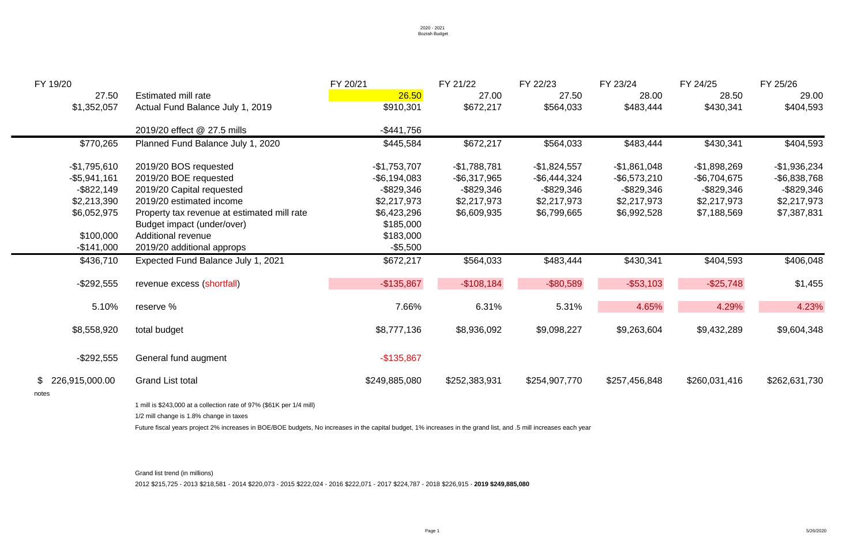| FY 19/20         |                                                                                                                                                                  | FY 20/21        | FY 21/22        | FY 22/23        | FY 23/24        | FY 24/25        | FY 25/26        |  |
|------------------|------------------------------------------------------------------------------------------------------------------------------------------------------------------|-----------------|-----------------|-----------------|-----------------|-----------------|-----------------|--|
| 27.50            | Estimated mill rate                                                                                                                                              | 26.50           | 27.00           | 27.50           | 28.00           | 28.50           | 29.00           |  |
| \$1,352,057      | Actual Fund Balance July 1, 2019                                                                                                                                 | \$910,301       | \$672,217       | \$564,033       | \$483,444       | \$430,341       | \$404,593       |  |
|                  | 2019/20 effect @ 27.5 mills                                                                                                                                      | -\$441,756      |                 |                 |                 |                 |                 |  |
| \$770,265        | Planned Fund Balance July 1, 2020                                                                                                                                | \$445,584       | \$672,217       | \$564,033       | \$483,444       | \$430,341       | \$404,593       |  |
| $-$1,795,610$    | 2019/20 BOS requested                                                                                                                                            | $-$1,753,707$   | $-$1,788,781$   | $-$1,824,557$   | $-$ \$1,861,048 | $-$1,898,269$   | $-$1,936,234$   |  |
| $-$ \$5,941,161  | 2019/20 BOE requested                                                                                                                                            | $-$ \$6,194,083 | $-$ \$6,317,965 | $-$ \$6,444,324 | $-$ \$6,573,210 | $-$ \$6,704,675 | $-$ \$6,838,768 |  |
| $-$ \$822,149    | 2019/20 Capital requested                                                                                                                                        | $-$ \$829,346   | $-$ \$829,346   | $ $829,346$     | -\$829,346      | $ $829,346$     | $-$ \$829,346   |  |
| \$2,213,390      | 2019/20 estimated income                                                                                                                                         | \$2,217,973     | \$2,217,973     | \$2,217,973     | \$2,217,973     | \$2,217,973     | \$2,217,973     |  |
| \$6,052,975      | Property tax revenue at estimated mill rate                                                                                                                      | \$6,423,296     | \$6,609,935     | \$6,799,665     | \$6,992,528     | \$7,188,569     | \$7,387,831     |  |
|                  | Budget impact (under/over)                                                                                                                                       | \$185,000       |                 |                 |                 |                 |                 |  |
| \$100,000        | <b>Additional revenue</b>                                                                                                                                        | \$183,000       |                 |                 |                 |                 |                 |  |
| $-$ \$141,000    | 2019/20 additional approps                                                                                                                                       | $-$ \$5,500     |                 |                 |                 |                 |                 |  |
| \$436,710        | Expected Fund Balance July 1, 2021                                                                                                                               | \$672,217       | \$564,033       | \$483,444       | \$430,341       | \$404,593       | \$406,048       |  |
| $-$ \$292,555    | revenue excess (shortfall)                                                                                                                                       | $-$ \$135,867   | $-$108,184$     | $-$ \$80,589    | $-$ \$53,103    | $-$ \$25,748    | \$1,455         |  |
| 5.10%            | reserve %                                                                                                                                                        | 7.66%           | 6.31%           | 5.31%           | 4.65%           | 4.29%           | 4.23%           |  |
| \$8,558,920      | total budget                                                                                                                                                     | \$8,777,136     | \$8,936,092     | \$9,098,227     | \$9,263,604     | \$9,432,289     | \$9,604,348     |  |
| $-$ \$292,555    | General fund augment                                                                                                                                             | $-$ \$135,867   |                 |                 |                 |                 |                 |  |
| \$226,915,000.00 | <b>Grand List total</b>                                                                                                                                          | \$249,885,080   | \$252,383,931   | \$254,907,770   | \$257,456,848   | \$260,031,416   | \$262,631,730   |  |
| notes            |                                                                                                                                                                  |                 |                 |                 |                 |                 |                 |  |
|                  | 1 mill is \$243,000 at a collection rate of 97% (\$61K per 1/4 mill)                                                                                             |                 |                 |                 |                 |                 |                 |  |
|                  | 1/2 mill change is 1.8% change in taxes                                                                                                                          |                 |                 |                 |                 |                 |                 |  |
|                  | Future fiscal years project 2% increases in BOE/BOE budgets, No increases in the capital budget, 1% increases in the grand list, and .5 mill increases each year |                 |                 |                 |                 |                 |                 |  |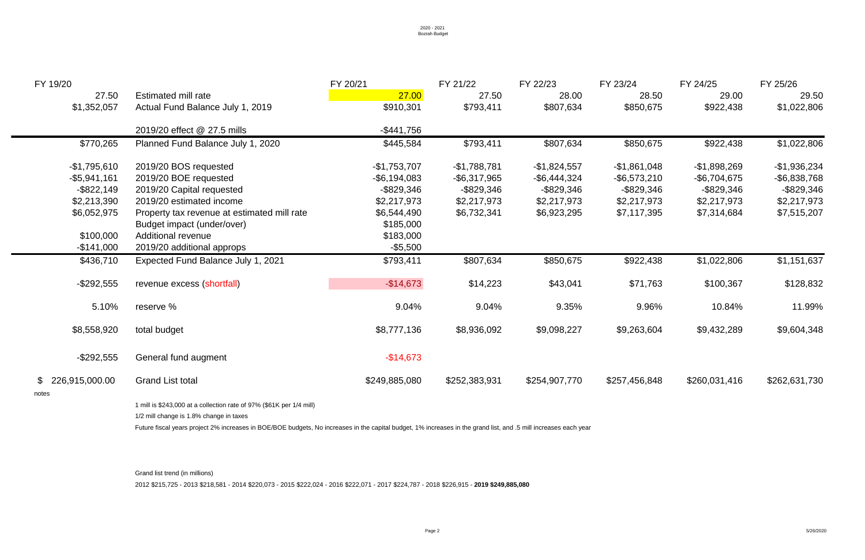| FY 19/20         |                                                                                                                                                                  | FY 20/21        | FY 21/22        | FY 22/23        | FY 23/24        | FY 24/25        | FY 25/26        |  |
|------------------|------------------------------------------------------------------------------------------------------------------------------------------------------------------|-----------------|-----------------|-----------------|-----------------|-----------------|-----------------|--|
| 27.50            | Estimated mill rate                                                                                                                                              | 27.00           | 27.50           | 28.00           | 28.50           | 29.00           | 29.50           |  |
| \$1,352,057      | Actual Fund Balance July 1, 2019                                                                                                                                 | \$910,301       | \$793,411       | \$807,634       | \$850,675       | \$922,438       | \$1,022,806     |  |
|                  | 2019/20 effect @ 27.5 mills                                                                                                                                      | $-$ \$441,756   |                 |                 |                 |                 |                 |  |
| \$770,265        | Planned Fund Balance July 1, 2020                                                                                                                                | \$445,584       | \$793,411       | \$807,634       | \$850,675       | \$922,438       | \$1,022,806     |  |
| $-$1,795,610$    | 2019/20 BOS requested                                                                                                                                            | $-$1,753,707$   | $-$1,788,781$   | $-$ \$1,824,557 | $-$1,861,048$   | $-$1,898,269$   | $-$1,936,234$   |  |
| $-$ \$5,941,161  | 2019/20 BOE requested                                                                                                                                            | $-$ \$6,194,083 | $-$ \$6,317,965 | $-$ \$6,444,324 | $-$ \$6,573,210 | $-$ \$6,704,675 | $-$ \$6,838,768 |  |
| $-$ \$822,149    | 2019/20 Capital requested                                                                                                                                        | $ $829,346$     | $-$ \$829,346   | -\$829,346      | $ $829,346$     | -\$829,346      | $-$ \$829,346   |  |
| \$2,213,390      | 2019/20 estimated income                                                                                                                                         | \$2,217,973     | \$2,217,973     | \$2,217,973     | \$2,217,973     | \$2,217,973     | \$2,217,973     |  |
| \$6,052,975      | Property tax revenue at estimated mill rate                                                                                                                      | \$6,544,490     | \$6,732,341     | \$6,923,295     | \$7,117,395     | \$7,314,684     | \$7,515,207     |  |
|                  | Budget impact (under/over)                                                                                                                                       | \$185,000       |                 |                 |                 |                 |                 |  |
| \$100,000        | <b>Additional revenue</b>                                                                                                                                        | \$183,000       |                 |                 |                 |                 |                 |  |
| $-$ \$141,000    | 2019/20 additional approps                                                                                                                                       | $-$ \$5,500     |                 |                 |                 |                 |                 |  |
| \$436,710        | Expected Fund Balance July 1, 2021                                                                                                                               | \$793,411       | \$807,634       | \$850,675       | \$922,438       | \$1,022,806     | \$1,151,637     |  |
| $-$ \$292,555    | revenue excess (shortfall)                                                                                                                                       | $-$14,673$      | \$14,223        | \$43,041        | \$71,763        | \$100,367       | \$128,832       |  |
| 5.10%            | reserve %                                                                                                                                                        | 9.04%           | 9.04%           | 9.35%           | 9.96%           | 10.84%          | 11.99%          |  |
| \$8,558,920      | total budget                                                                                                                                                     | \$8,777,136     | \$8,936,092     | \$9,098,227     | \$9,263,604     | \$9,432,289     | \$9,604,348     |  |
| $-$ \$292,555    | General fund augment                                                                                                                                             | $-$ \$14,673    |                 |                 |                 |                 |                 |  |
| \$226,915,000.00 | <b>Grand List total</b>                                                                                                                                          | \$249,885,080   | \$252,383,931   | \$254,907,770   | \$257,456,848   | \$260,031,416   | \$262,631,730   |  |
| notes            |                                                                                                                                                                  |                 |                 |                 |                 |                 |                 |  |
|                  | 1 mill is \$243,000 at a collection rate of 97% (\$61K per 1/4 mill)                                                                                             |                 |                 |                 |                 |                 |                 |  |
|                  | 1/2 mill change is 1.8% change in taxes                                                                                                                          |                 |                 |                 |                 |                 |                 |  |
|                  | Future fiscal years project 2% increases in BOE/BOE budgets, No increases in the capital budget, 1% increases in the grand list, and .5 mill increases each year |                 |                 |                 |                 |                 |                 |  |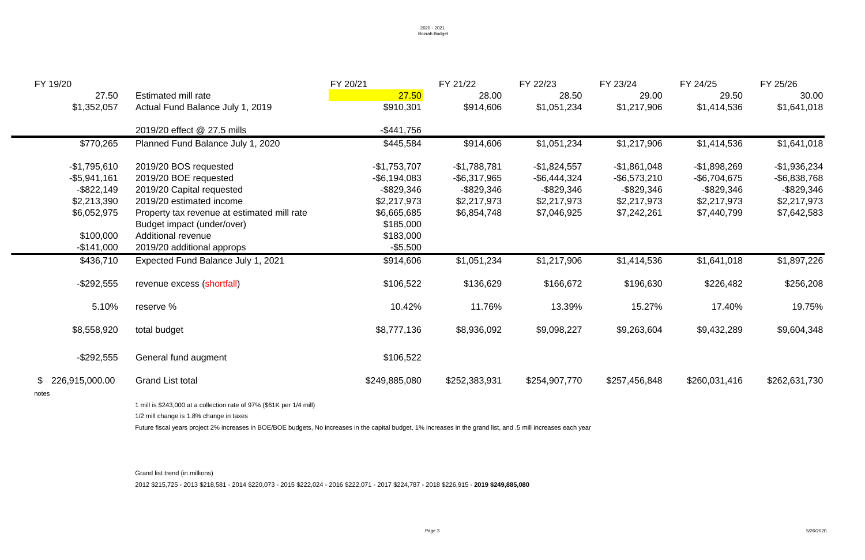| FY 19/20         |                                                                                                                                                                  | FY 20/21        | FY 21/22        | FY 22/23        | FY 23/24        | FY 24/25        | FY 25/26        |  |
|------------------|------------------------------------------------------------------------------------------------------------------------------------------------------------------|-----------------|-----------------|-----------------|-----------------|-----------------|-----------------|--|
| 27.50            | Estimated mill rate                                                                                                                                              | 27.50           | 28.00           | 28.50           | 29.00           | 29.50           | 30.00           |  |
| \$1,352,057      | Actual Fund Balance July 1, 2019                                                                                                                                 | \$910,301       | \$914,606       | \$1,051,234     | \$1,217,906     | \$1,414,536     | \$1,641,018     |  |
|                  | 2019/20 effect @ 27.5 mills                                                                                                                                      | $-$ \$441,756   |                 |                 |                 |                 |                 |  |
| \$770,265        | Planned Fund Balance July 1, 2020                                                                                                                                | \$445,584       | \$914,606       | \$1,051,234     | \$1,217,906     | \$1,414,536     | \$1,641,018     |  |
| $-$1,795,610$    | 2019/20 BOS requested                                                                                                                                            | $-$1,753,707$   | $-$1,788,781$   | $-$1,824,557$   | $-$ \$1,861,048 | $-$1,898,269$   | $-$1,936,234$   |  |
| $-$ \$5,941,161  | 2019/20 BOE requested                                                                                                                                            | $-$ \$6,194,083 | $-$ \$6,317,965 | $-$ \$6,444,324 | $-$ \$6,573,210 | $-$ \$6,704,675 | $-$ \$6,838,768 |  |
| $-$ \$822,149    | 2019/20 Capital requested                                                                                                                                        | $-$ \$829,346   | -\$829,346      | $ $829,346$     | -\$829,346      | -\$829,346      | $-$ \$829,346   |  |
| \$2,213,390      | 2019/20 estimated income                                                                                                                                         | \$2,217,973     | \$2,217,973     | \$2,217,973     | \$2,217,973     | \$2,217,973     | \$2,217,973     |  |
| \$6,052,975      | Property tax revenue at estimated mill rate                                                                                                                      | \$6,665,685     | \$6,854,748     | \$7,046,925     | \$7,242,261     | \$7,440,799     | \$7,642,583     |  |
|                  | Budget impact (under/over)                                                                                                                                       | \$185,000       |                 |                 |                 |                 |                 |  |
| \$100,000        | <b>Additional revenue</b>                                                                                                                                        | \$183,000       |                 |                 |                 |                 |                 |  |
| $-$ \$141,000    | 2019/20 additional approps                                                                                                                                       | $-$ \$5,500     |                 |                 |                 |                 |                 |  |
| \$436,710        | Expected Fund Balance July 1, 2021                                                                                                                               | \$914,606       | \$1,051,234     | \$1,217,906     | \$1,414,536     | \$1,641,018     | \$1,897,226     |  |
| $-$ \$292,555    | revenue excess (shortfall)                                                                                                                                       | \$106,522       | \$136,629       | \$166,672       | \$196,630       | \$226,482       | \$256,208       |  |
| 5.10%            | reserve %                                                                                                                                                        | 10.42%          | 11.76%          | 13.39%          | 15.27%          | 17.40%          | 19.75%          |  |
| \$8,558,920      | total budget                                                                                                                                                     | \$8,777,136     | \$8,936,092     | \$9,098,227     | \$9,263,604     | \$9,432,289     | \$9,604,348     |  |
| $-$ \$292,555    | General fund augment                                                                                                                                             | \$106,522       |                 |                 |                 |                 |                 |  |
| \$226,915,000.00 | <b>Grand List total</b>                                                                                                                                          | \$249,885,080   | \$252,383,931   | \$254,907,770   | \$257,456,848   | \$260,031,416   | \$262,631,730   |  |
| notes            | 1 mill is \$243,000 at a collection rate of 97% (\$61K per 1/4 mill)                                                                                             |                 |                 |                 |                 |                 |                 |  |
|                  | 1/2 mill change is 1.8% change in taxes                                                                                                                          |                 |                 |                 |                 |                 |                 |  |
|                  |                                                                                                                                                                  |                 |                 |                 |                 |                 |                 |  |
|                  | Future fiscal years project 2% increases in BOE/BOE budgets, No increases in the capital budget, 1% increases in the grand list, and .5 mill increases each year |                 |                 |                 |                 |                 |                 |  |